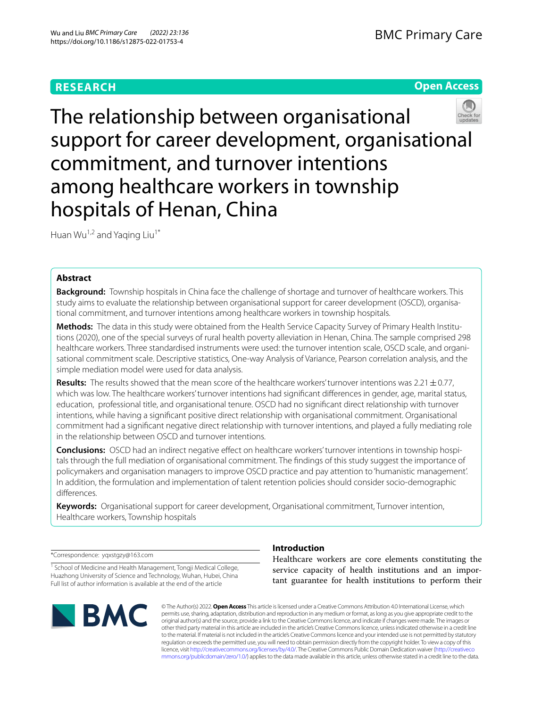# **RESEARCH**

BMC Primary Care

# **Open Access**



The relationship between organisational support for career development, organisational commitment, and turnover intentions among healthcare workers in township hospitals of Henan, China

Huan Wu<sup>1,2</sup> and Yaqing Liu<sup>1\*</sup>

## **Abstract**

**Background:** Township hospitals in China face the challenge of shortage and turnover of healthcare workers. This study aims to evaluate the relationship between organisational support for career development (OSCD), organisational commitment, and turnover intentions among healthcare workers in township hospitals.

**Methods:** The data in this study were obtained from the Health Service Capacity Survey of Primary Health Institutions (2020), one of the special surveys of rural health poverty alleviation in Henan, China. The sample comprised 298 healthcare workers. Three standardised instruments were used: the turnover intention scale, OSCD scale, and organisational commitment scale. Descriptive statistics, One-way Analysis of Variance, Pearson correlation analysis, and the simple mediation model were used for data analysis.

**Results:** The results showed that the mean score of the healthcare workers' turnover intentions was  $2.21 \pm 0.77$ , which was low. The healthcare workers' turnover intentions had signifcant diferences in gender, age, marital status, education, professional title, and organisational tenure. OSCD had no signifcant direct relationship with turnover intentions, while having a signifcant positive direct relationship with organisational commitment. Organisational commitment had a signifcant negative direct relationship with turnover intentions, and played a fully mediating role in the relationship between OSCD and turnover intentions.

**Conclusions:** OSCD had an indirect negative efect on healthcare workers' turnover intentions in township hospitals through the full mediation of organisational commitment. The fndings of this study suggest the importance of policymakers and organisation managers to improve OSCD practice and pay attention to 'humanistic management'. In addition, the formulation and implementation of talent retention policies should consider socio-demographic diferences.

**Keywords:** Organisational support for career development, Organisational commitment, Turnover intention, Healthcare workers, Township hospitals

\*Correspondence: yqxstgzy@163.com

<sup>1</sup> School of Medicine and Health Management, Tongji Medical College, Huazhong University of Science and Technology, Wuhan, Hubei, China Full list of author information is available at the end of the article



## **Introduction**

Healthcare workers are core elements constituting the service capacity of health institutions and an important guarantee for health institutions to perform their

© The Author(s) 2022. **Open Access** This article is licensed under a Creative Commons Attribution 4.0 International License, which permits use, sharing, adaptation, distribution and reproduction in any medium or format, as long as you give appropriate credit to the original author(s) and the source, provide a link to the Creative Commons licence, and indicate if changes were made. The images or other third party material in this article are included in the article's Creative Commons licence, unless indicated otherwise in a credit line to the material. If material is not included in the article's Creative Commons licence and your intended use is not permitted by statutory regulation or exceeds the permitted use, you will need to obtain permission directly from the copyright holder. To view a copy of this licence, visit [http://creativecommons.org/licenses/by/4.0/.](http://creativecommons.org/licenses/by/4.0/) The Creative Commons Public Domain Dedication waiver ([http://creativeco](http://creativecommons.org/publicdomain/zero/1.0/) [mmons.org/publicdomain/zero/1.0/](http://creativecommons.org/publicdomain/zero/1.0/)) applies to the data made available in this article, unless otherwise stated in a credit line to the data.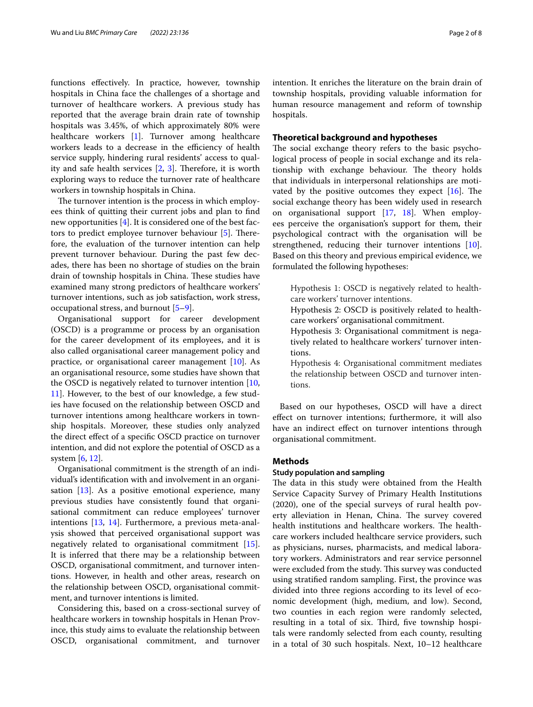functions efectively. In practice, however, township hospitals in China face the challenges of a shortage and turnover of healthcare workers. A previous study has reported that the average brain drain rate of township hospitals was 3.45%, of which approximately 80% were healthcare workers [[1\]](#page-6-0). Turnover among healthcare workers leads to a decrease in the efficiency of health service supply, hindering rural residents' access to quality and safe health services  $[2, 3]$  $[2, 3]$  $[2, 3]$  $[2, 3]$  $[2, 3]$ . Therefore, it is worth exploring ways to reduce the turnover rate of healthcare workers in township hospitals in China.

The turnover intention is the process in which employees think of quitting their current jobs and plan to fnd new opportunities [[4\]](#page-7-0). It is considered one of the best fac-tors to predict employee turnover behaviour [[5\]](#page-7-1). Therefore, the evaluation of the turnover intention can help prevent turnover behaviour. During the past few decades, there has been no shortage of studies on the brain drain of township hospitals in China. These studies have examined many strong predictors of healthcare workers' turnover intentions, such as job satisfaction, work stress, occupational stress, and burnout [[5–](#page-7-1)[9\]](#page-7-2).

Organisational support for career development (OSCD) is a programme or process by an organisation for the career development of its employees, and it is also called organisational career management policy and practice, or organisational career management [\[10](#page-7-3)]. As an organisational resource, some studies have shown that the OSCD is negatively related to turnover intention [\[10](#page-7-3), [11\]](#page-7-4). However, to the best of our knowledge, a few studies have focused on the relationship between OSCD and turnover intentions among healthcare workers in township hospitals. Moreover, these studies only analyzed the direct efect of a specifc OSCD practice on turnover intention, and did not explore the potential of OSCD as a system [\[6](#page-7-5), [12\]](#page-7-6).

Organisational commitment is the strength of an individual's identifcation with and involvement in an organisation [\[13](#page-7-7)]. As a positive emotional experience, many previous studies have consistently found that organisational commitment can reduce employees' turnover intentions [\[13,](#page-7-7) [14\]](#page-7-8). Furthermore, a previous meta-analysis showed that perceived organisational support was negatively related to organisational commitment [\[15](#page-7-9)]. It is inferred that there may be a relationship between OSCD, organisational commitment, and turnover intentions. However, in health and other areas, research on the relationship between OSCD, organisational commitment, and turnover intentions is limited.

Considering this, based on a cross-sectional survey of healthcare workers in township hospitals in Henan Province, this study aims to evaluate the relationship between OSCD, organisational commitment, and turnover intention. It enriches the literature on the brain drain of township hospitals, providing valuable information for human resource management and reform of township hospitals.

## **Theoretical background and hypotheses**

The social exchange theory refers to the basic psychological process of people in social exchange and its relationship with exchange behaviour. The theory holds that individuals in interpersonal relationships are motivated by the positive outcomes they expect  $[16]$ . The social exchange theory has been widely used in research on organisational support [\[17](#page-7-11), [18\]](#page-7-12). When employees perceive the organisation's support for them, their psychological contract with the organisation will be strengthened, reducing their turnover intentions [\[10](#page-7-3)]. Based on this theory and previous empirical evidence, we formulated the following hypotheses:

Hypothesis 1: OSCD is negatively related to healthcare workers' turnover intentions.

Hypothesis 2: OSCD is positively related to healthcare workers' organisational commitment.

Hypothesis 3: Organisational commitment is negatively related to healthcare workers' turnover intentions.

Hypothesis 4: Organisational commitment mediates the relationship between OSCD and turnover intentions.

Based on our hypotheses, OSCD will have a direct efect on turnover intentions; furthermore, it will also have an indirect effect on turnover intentions through organisational commitment.

## **Methods**

## **Study population and sampling**

The data in this study were obtained from the Health Service Capacity Survey of Primary Health Institutions (2020), one of the special surveys of rural health poverty alleviation in Henan, China. The survey covered health institutions and healthcare workers. The healthcare workers included healthcare service providers, such as physicians, nurses, pharmacists, and medical laboratory workers. Administrators and rear service personnel were excluded from the study. This survey was conducted using stratifed random sampling. First, the province was divided into three regions according to its level of economic development (high, medium, and low). Second, two counties in each region were randomly selected, resulting in a total of six. Third, five township hospitals were randomly selected from each county, resulting in a total of 30 such hospitals. Next, 10–12 healthcare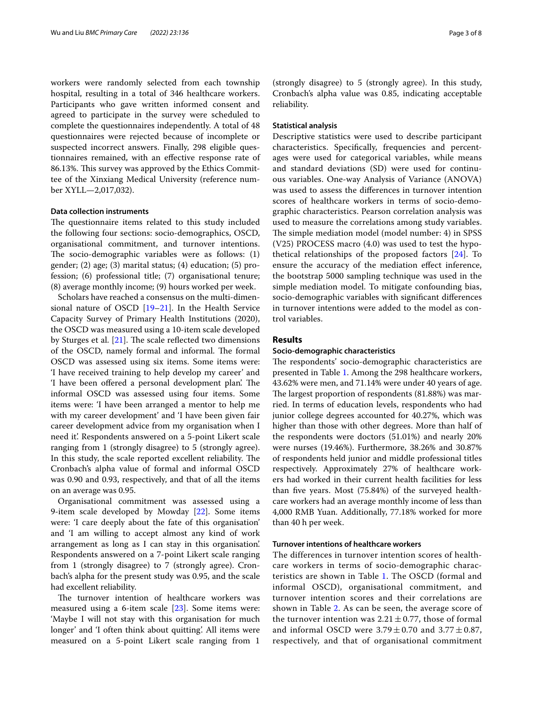workers were randomly selected from each township hospital, resulting in a total of 346 healthcare workers. Participants who gave written informed consent and agreed to participate in the survey were scheduled to complete the questionnaires independently. A total of 48 questionnaires were rejected because of incomplete or suspected incorrect answers. Finally, 298 eligible questionnaires remained, with an efective response rate of 86.13%. This survey was approved by the Ethics Committee of the Xinxiang Medical University (reference number XYLL—2,017,032).

## **Data collection instruments**

The questionnaire items related to this study included the following four sections: socio-demographics, OSCD, organisational commitment, and turnover intentions. The socio-demographic variables were as follows:  $(1)$ gender; (2) age; (3) marital status; (4) education; (5) profession; (6) professional title; (7) organisational tenure; (8) average monthly income; (9) hours worked per week.

Scholars have reached a consensus on the multi-dimensional nature of OSCD [[19–](#page-7-13)[21\]](#page-7-14). In the Health Service Capacity Survey of Primary Health Institutions (2020), the OSCD was measured using a 10-item scale developed by Sturges et al.  $[21]$  $[21]$ . The scale reflected two dimensions of the OSCD, namely formal and informal. The formal OSCD was assessed using six items. Some items were: 'I have received training to help develop my career' and 'I have been offered a personal development plan'. The informal OSCD was assessed using four items. Some items were: 'I have been arranged a mentor to help me with my career development' and 'I have been given fair career development advice from my organisation when I need it'. Respondents answered on a 5-point Likert scale ranging from 1 (strongly disagree) to 5 (strongly agree). In this study, the scale reported excellent reliability. The Cronbach's alpha value of formal and informal OSCD was 0.90 and 0.93, respectively, and that of all the items on an average was 0.95.

Organisational commitment was assessed using a 9-item scale developed by Mowday [[22](#page-7-15)]. Some items were: 'I care deeply about the fate of this organisation' and 'I am willing to accept almost any kind of work arrangement as long as I can stay in this organisation'. Respondents answered on a 7-point Likert scale ranging from 1 (strongly disagree) to 7 (strongly agree). Cronbach's alpha for the present study was 0.95, and the scale had excellent reliability.

The turnover intention of healthcare workers was measured using a 6-item scale [\[23\]](#page-7-16). Some items were: 'Maybe I will not stay with this organisation for much longer' and 'I often think about quitting'. All items were measured on a 5-point Likert scale ranging from 1

(strongly disagree) to 5 (strongly agree). In this study, Cronbach's alpha value was 0.85, indicating acceptable reliability.

## **Statistical analysis**

Descriptive statistics were used to describe participant characteristics. Specifcally, frequencies and percentages were used for categorical variables, while means and standard deviations (SD) were used for continuous variables. One-way Analysis of Variance (ANOVA) was used to assess the diferences in turnover intention scores of healthcare workers in terms of socio-demographic characteristics. Pearson correlation analysis was used to measure the correlations among study variables. The simple mediation model (model number: 4) in SPSS (V25) PROCESS macro (4.0) was used to test the hypothetical relationships of the proposed factors [[24\]](#page-7-17). To ensure the accuracy of the mediation efect inference, the bootstrap 5000 sampling technique was used in the simple mediation model. To mitigate confounding bias, socio-demographic variables with signifcant diferences in turnover intentions were added to the model as control variables.

## **Results**

## **Socio‑demographic characteristics**

The respondents' socio-demographic characteristics are presented in Table [1.](#page-3-0) Among the 298 healthcare workers, 43.62% were men, and 71.14% were under 40 years of age. The largest proportion of respondents (81.88%) was married. In terms of education levels, respondents who had junior college degrees accounted for 40.27%, which was higher than those with other degrees. More than half of the respondents were doctors (51.01%) and nearly 20% were nurses (19.46%). Furthermore, 38.26% and 30.87% of respondents held junior and middle professional titles respectively. Approximately 27% of healthcare workers had worked in their current health facilities for less than fve years. Most (75.84%) of the surveyed healthcare workers had an average monthly income of less than 4,000 RMB Yuan. Additionally, 77.18% worked for more than 40 h per week.

### **Turnover intentions of healthcare workers**

The differences in turnover intention scores of healthcare workers in terms of socio-demographic characteristics are shown in Table [1.](#page-3-0) The OSCD (formal and informal OSCD), organisational commitment, and turnover intention scores and their correlations are shown in Table [2](#page-3-1). As can be seen, the average score of the turnover intention was  $2.21 \pm 0.77$ , those of formal and informal OSCD were  $3.79 \pm 0.70$  and  $3.77 \pm 0.87$ , respectively, and that of organisational commitment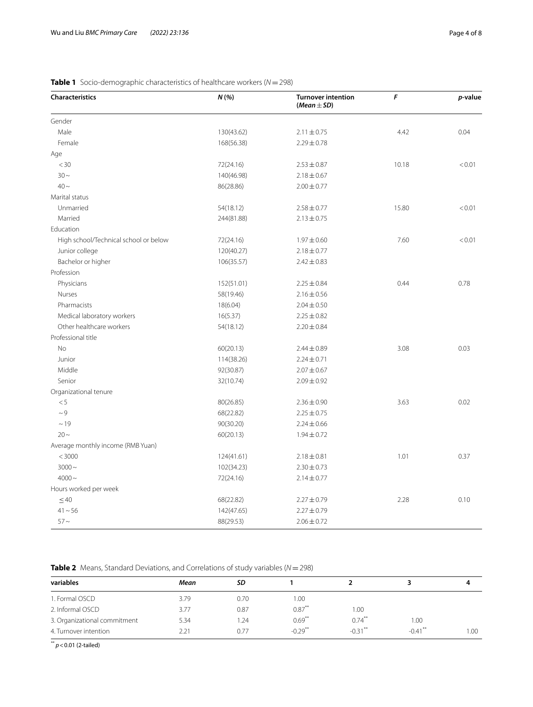| Characteristics                       | $N(% )$    | <b>Turnover intention</b><br>$(Mean \pm SD)$ | F     | p-value |  |
|---------------------------------------|------------|----------------------------------------------|-------|---------|--|
| Gender                                |            |                                              |       |         |  |
| Male                                  | 130(43.62) | $2.11 \pm 0.75$                              | 4.42  | 0.04    |  |
| Female                                | 168(56.38) | $2.29 \pm 0.78$                              |       |         |  |
| Age                                   |            |                                              |       |         |  |
| $<$ 30                                | 72(24.16)  | $2.53 \pm 0.87$                              | 10.18 | < 0.01  |  |
| $30 -$                                | 140(46.98) | $2.18 \pm 0.67$                              |       |         |  |
| $40 \sim$                             | 86(28.86)  | $2.00 \pm 0.77$                              |       |         |  |
| Marital status                        |            |                                              |       |         |  |
| Unmarried                             | 54(18.12)  | $2.58 \pm 0.77$                              | 15.80 | < 0.01  |  |
| Married                               | 244(81.88) | $2.13 \pm 0.75$                              |       |         |  |
| Education                             |            |                                              |       |         |  |
| High school/Technical school or below | 72(24.16)  | $1.97 \pm 0.60$                              | 7.60  | < 0.01  |  |
| Junior college                        | 120(40.27) | $2.18 \pm 0.77$                              |       |         |  |
| Bachelor or higher                    | 106(35.57) | $2.42 \pm 0.83$                              |       |         |  |
| Profession                            |            |                                              |       |         |  |
| Physicians                            | 152(51.01) | $2.25 \pm 0.84$                              | 0.44  | 0.78    |  |
| Nurses                                | 58(19.46)  | $2.16 \pm 0.56$                              |       |         |  |
| Pharmacists                           | 18(6.04)   | $2.04 \pm 0.50$                              |       |         |  |
| Medical laboratory workers            | 16(5.37)   | $2.25 \pm 0.82$                              |       |         |  |
| Other healthcare workers              | 54(18.12)  | $2.20 \pm 0.84$                              |       |         |  |
| Professional title                    |            |                                              |       |         |  |
| No                                    | 60(20.13)  | $2.44 \pm 0.89$                              | 3.08  | 0.03    |  |
| Junior                                | 114(38.26) | $2.24 \pm 0.71$                              |       |         |  |
| Middle                                | 92(30.87)  | $2.07 \pm 0.67$                              |       |         |  |
| Senior                                | 32(10.74)  | $2.09 \pm 0.92$                              |       |         |  |
| Organizational tenure                 |            |                                              |       |         |  |
| < 5                                   | 80(26.85)  | $2.36 \pm 0.90$                              | 3.63  | 0.02    |  |
| $\sim$ 9                              | 68(22.82)  | $2.25 \pm 0.75$                              |       |         |  |
| ~19                                   | 90(30.20)  | $2.24 \pm 0.66$                              |       |         |  |
| $20 \sim$                             | 60(20.13)  | $1.94 \pm 0.72$                              |       |         |  |
| Average monthly income (RMB Yuan)     |            |                                              |       |         |  |
| < 3000                                | 124(41.61) | $2.18 \pm 0.81$                              | 1.01  | 0.37    |  |
| $3000 -$                              | 102(34.23) | $2.30 \pm 0.73$                              |       |         |  |
| $4000 -$                              | 72(24.16)  | $2.14 \pm 0.77$                              |       |         |  |
| Hours worked per week                 |            |                                              |       |         |  |
| $\leq 40$                             | 68(22.82)  | $2.27 \pm 0.79$                              | 2.28  | 0.10    |  |
| $41 - 56$                             | 142(47.65) | $2.27 \pm 0.79$                              |       |         |  |
| $57 -$                                | 88(29.53)  | $2.06 \pm 0.72$                              |       |         |  |

## <span id="page-3-0"></span>**Table 1** Socio-demographic characteristics of healthcare workers (*N*=298)

<span id="page-3-1"></span>**Table 2** Means, Standard Deviations, and Correlations of study variables (*N*=298)

| variables                    | Mean | SD.  |                       |            |                       |      |
|------------------------------|------|------|-----------------------|------------|-----------------------|------|
| 1. Formal OSCD               | 3.79 | 0.70 | 00.1                  |            |                       |      |
| 2. Informal OSCD             | 3.77 | 0.87 | $0.87***$             | 00.1       |                       |      |
| 3. Organizational commitment | 5.34 | 1.24 | $0.69***$             | $0.74***$  | 1.00                  |      |
| 4. Turnover intention        | 2.21 | 0.77 | $-0.29$ <sup>**</sup> | $-0.31$ ** | $-0.41$ <sup>**</sup> | 00.1 |

*\*\* p*<0.01 (2-tailed)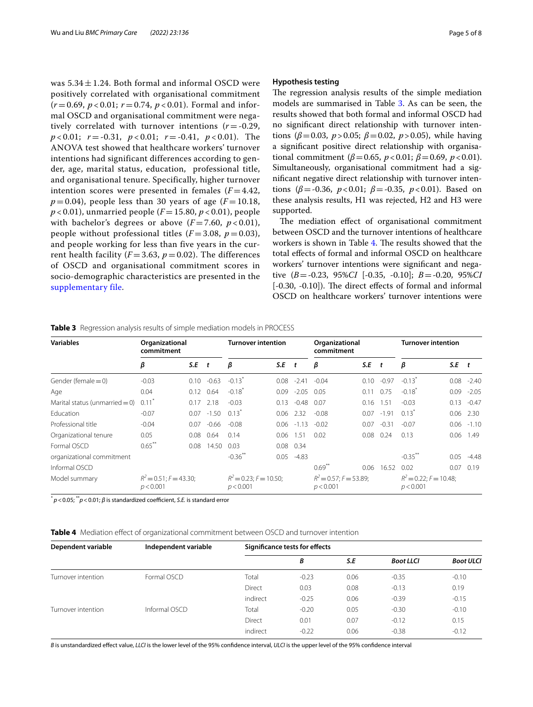was  $5.34 \pm 1.24$ . Both formal and informal OSCD were positively correlated with organisational commitment  $(r=0.69, p<0.01; r=0.74, p<0.01)$ . Formal and informal OSCD and organisational commitment were negatively correlated with turnover intentions  $(r = -0.29,$ *p* < 0.01; *r* = -0.31, *p* < 0.01; *r* = -0.41, *p* < 0.01). The ANOVA test showed that healthcare workers' turnover intentions had significant differences according to gender, age, marital status, education, professional title, and organisational tenure. Specifically, higher turnover intention scores were presented in females  $(F = 4.42,$  $p = 0.04$ ), people less than 30 years of age ( $F = 10.18$ ,  $p$  < 0.01), unmarried people ( $F = 15.80, p$  < 0.01), people with bachelor's degrees or above  $(F = 7.60, p < 0.01)$ , people without professional titles  $(F = 3.08, p = 0.03)$ , and people working for less than five years in the current health facility  $(F = 3.63, p = 0.02)$ . The differences of OSCD and organisational commitment scores in socio-demographic characteristics are presented in the [supplementary file](#page-6-3).

### **Hypothesis testing**

The regression analysis results of the simple mediation models are summarised in Table [3](#page-4-0). As can be seen, the results showed that both formal and informal OSCD had no signifcant direct relationship with turnover intentions ( $\beta$ =0.03, *p*>0.05;  $\beta$ =0.02, *p*>0.05), while having a signifcant positive direct relationship with organisational commitment ( $\beta$ =0.65,  $p$  < 0.01;  $\beta$ =0.69,  $p$  < 0.01). Simultaneously, organisational commitment had a signifcant negative direct relationship with turnover intentions (*β*=-0.36, *p*<0.01; *β*=-0.35, *p*<0.01). Based on these analysis results, H1 was rejected, H2 and H3 were supported.

The mediation effect of organisational commitment between OSCD and the turnover intentions of healthcare workers is shown in Table [4.](#page-4-1) The results showed that the total efects of formal and informal OSCD on healthcare workers' turnover intentions were signifcant and negative (*B*=-0.23, 95%*CI* [-0.35, -0.10]; *B*=-0.20, 95%*CI*  $[-0.30, -0.10]$ ). The direct effects of formal and informal OSCD on healthcare workers' turnover intentions were

| <b>Variables</b>                  | Organizational<br>commitment           |         |                   | <b>Turnover intention</b>                 |      | Organizational<br>commitment |                                        |      | <b>Turnover intention</b> |                                       |           |              |
|-----------------------------------|----------------------------------------|---------|-------------------|-------------------------------------------|------|------------------------------|----------------------------------------|------|---------------------------|---------------------------------------|-----------|--------------|
|                                   | β                                      | $S.E$ t |                   | β                                         | S.E  | t                            | β                                      | S.E  | $\mathbf{t}$              | β                                     | $S.E$ $t$ |              |
| Gender (female $= 0$ )            | $-0.03$                                | 0.10    | $-0.63$           | $-0.13$ <sup>*</sup>                      | 0.08 | $-2.41$                      | $-0.04$                                | 0.10 | $-0.97$                   | $-0.13$ <sup>*</sup>                  | 0.08      | $-2.40$      |
| Age                               | 0.04                                   |         | $0.12 \quad 0.64$ | $-0.18$ <sup>*</sup>                      | 0.09 | $-2.05$ 0.05                 |                                        | 0.11 | 0.75                      | $-0.18$                               | 0.09      | $-2.05$      |
| Marital status (unmarried $= 0$ ) | 0.11                                   | 0.17    | 2.18              | $-0.03$                                   | 0.13 | $-0.48$                      | 0.07                                   | 0.16 | 1.51                      | $-0.03$                               | 0.13      | $-0.47$      |
| <b>Education</b>                  | $-0.07$                                | 0.07    | $-1.50$           | $0.13^*$                                  |      | $0.06$ 2.32                  | $-0.08$                                | 0.07 | $-1.91$                   | $0.13*$                               | 0.06      | 2.30         |
| Professional title                | $-0.04$                                | 0.07    | $-0.66$           | $-0.08$                                   | 0.06 | $-1.13 - 0.02$               |                                        | 0.07 | $-0.31$                   | $-0.07$                               |           | $0.06 -1.10$ |
| Organizational tenure             | 0.05                                   | 0.08    | 0.64              | 0.14                                      | 0.06 | 1.51                         | 0.02                                   | 0.08 | 0.24                      | 0.13                                  | 0.06      | 1.49         |
| Formal OSCD                       | $0.65***$                              | 0.08    | 14.50             | 0.03                                      |      | $0.08$ 0.34                  |                                        |      |                           |                                       |           |              |
| organizational commitment         |                                        |         |                   | $-0.36***$                                | 0.05 | $-4.83$                      |                                        |      |                           | $-0.35***$                            | 0.05      | $-4.48$      |
| Informal OSCD                     |                                        |         |                   |                                           |      |                              | $0.69***$                              | 0.06 | 16.52                     | 0.02                                  | 0.07      | 0.19         |
| Model summary                     | $R^2 = 0.51$ ; F = 43.30;<br>p < 0.001 |         |                   | $R^2 = 0.23$ ; $F = 10.50$ ;<br>p < 0.001 |      |                              | $R^2 = 0.57$ ; F = 53.89;<br>p < 0.001 |      |                           | $R^2$ = 0.22; F = 10.48;<br>p < 0.001 |           |              |

<span id="page-4-0"></span>**Table 3** Regression analysis results of simple mediation models in PROCESS

 $p$  < 0.05;  $p$ <sup>\*</sup>  $p$  < 0.01; *β* is standardized coefficient, *S.E.* is standard error

<span id="page-4-1"></span>**Table 4** Mediation efect of organizational commitment between OSCD and turnover intention

| Dependent variable | Independent variable | <b>Significance tests for effects</b> |         |      |                  |                  |  |  |
|--------------------|----------------------|---------------------------------------|---------|------|------------------|------------------|--|--|
|                    |                      |                                       | В       | S.E  | <b>Boot LLCI</b> | <b>Boot ULCI</b> |  |  |
| Turnover intention | Formal OSCD          | Total                                 | $-0.23$ | 0.06 | $-0.35$          | $-0.10$          |  |  |
|                    |                      | Direct                                | 0.03    | 0.08 | $-0.13$          | 0.19             |  |  |
|                    |                      | indirect                              | $-0.25$ | 0.06 | $-0.39$          | $-0.15$          |  |  |
| Turnover intention | Informal OSCD        | Total                                 | $-0.20$ | 0.05 | $-0.30$          | $-0.10$          |  |  |
|                    |                      | Direct                                | 0.01    | 0.07 | $-0.12$          | 0.15             |  |  |
|                    |                      | indirect                              | $-0.22$ | 0.06 | $-0.38$          | $-0.12$          |  |  |

*B* is unstandardized efect value, *LLCI* is the lower level of the 95% confdence interval, *ULCI* is the upper level of the 95% confdence interval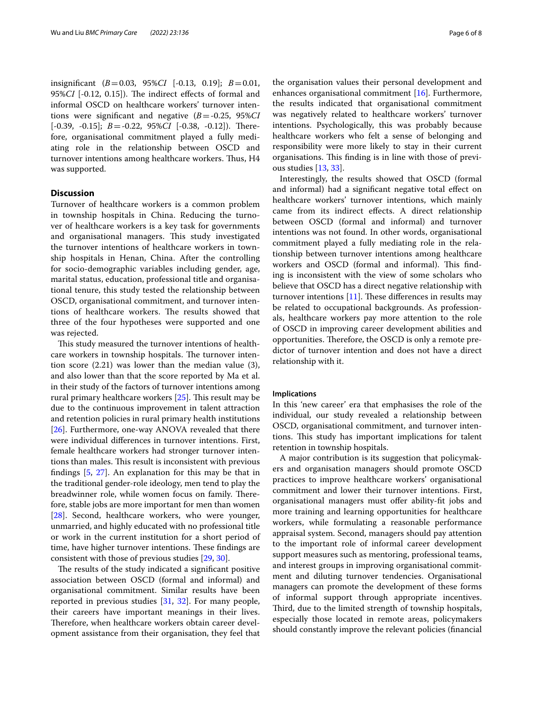insignifcant (*B*=0.03, 95%*CI* [-0.13, 0.19]; *B*=0.01, 95%*CI* [-0.12, 0.15]). The indirect effects of formal and informal OSCD on healthcare workers' turnover intentions were signifcant and negative (*B*=-0.25, 95%*CI* [-0.39, -0.15]; *B* = -0.22, 95%*CI* [-0.38, -0.12]). Therefore, organisational commitment played a fully mediating role in the relationship between OSCD and turnover intentions among healthcare workers. Thus, H4 was supported.

## **Discussion**

Turnover of healthcare workers is a common problem in township hospitals in China. Reducing the turnover of healthcare workers is a key task for governments and organisational managers. This study investigated the turnover intentions of healthcare workers in township hospitals in Henan, China. After the controlling for socio-demographic variables including gender, age, marital status, education, professional title and organisational tenure, this study tested the relationship between OSCD, organisational commitment, and turnover intentions of healthcare workers. The results showed that three of the four hypotheses were supported and one was rejected.

This study measured the turnover intentions of healthcare workers in township hospitals. The turnover intention score (2.21) was lower than the median value (3), and also lower than that the score reported by Ma et al. in their study of the factors of turnover intentions among rural primary healthcare workers  $[25]$ . This result may be due to the continuous improvement in talent attraction and retention policies in rural primary health institutions [[26\]](#page-7-19). Furthermore, one-way ANOVA revealed that there were individual diferences in turnover intentions. First, female healthcare workers had stronger turnover intentions than males. This result is inconsistent with previous fndings [\[5](#page-7-1), [27](#page-7-20)]. An explanation for this may be that in the traditional gender-role ideology, men tend to play the breadwinner role, while women focus on family. Therefore, stable jobs are more important for men than women [[28\]](#page-7-21). Second, healthcare workers, who were younger, unmarried, and highly educated with no professional title or work in the current institution for a short period of time, have higher turnover intentions. These findings are consistent with those of previous studies [\[29](#page-7-22), [30\]](#page-7-23).

The results of the study indicated a significant positive association between OSCD (formal and informal) and organisational commitment. Similar results have been reported in previous studies [\[31](#page-7-24), [32\]](#page-7-25). For many people, their careers have important meanings in their lives. Therefore, when healthcare workers obtain career development assistance from their organisation, they feel that the organisation values their personal development and enhances organisational commitment [[16](#page-7-10)]. Furthermore, the results indicated that organisational commitment was negatively related to healthcare workers' turnover intentions. Psychologically, this was probably because healthcare workers who felt a sense of belonging and responsibility were more likely to stay in their current organisations. This finding is in line with those of previous studies [\[13](#page-7-7), [33\]](#page-7-26).

Interestingly, the results showed that OSCD (formal and informal) had a signifcant negative total efect on healthcare workers' turnover intentions, which mainly came from its indirect efects. A direct relationship between OSCD (formal and informal) and turnover intentions was not found. In other words, organisational commitment played a fully mediating role in the relationship between turnover intentions among healthcare workers and OSCD (formal and informal). This finding is inconsistent with the view of some scholars who believe that OSCD has a direct negative relationship with turnover intentions  $[11]$ . These differences in results may be related to occupational backgrounds. As professionals, healthcare workers pay more attention to the role of OSCD in improving career development abilities and opportunities. Therefore, the OSCD is only a remote predictor of turnover intention and does not have a direct relationship with it.

### **Implications**

In this 'new career' era that emphasises the role of the individual, our study revealed a relationship between OSCD, organisational commitment, and turnover intentions. This study has important implications for talent retention in township hospitals.

A major contribution is its suggestion that policymakers and organisation managers should promote OSCD practices to improve healthcare workers' organisational commitment and lower their turnover intentions. First, organisational managers must ofer ability-ft jobs and more training and learning opportunities for healthcare workers, while formulating a reasonable performance appraisal system. Second, managers should pay attention to the important role of informal career development support measures such as mentoring, professional teams, and interest groups in improving organisational commitment and diluting turnover tendencies. Organisational managers can promote the development of these forms of informal support through appropriate incentives. Third, due to the limited strength of township hospitals, especially those located in remote areas, policymakers should constantly improve the relevant policies (fnancial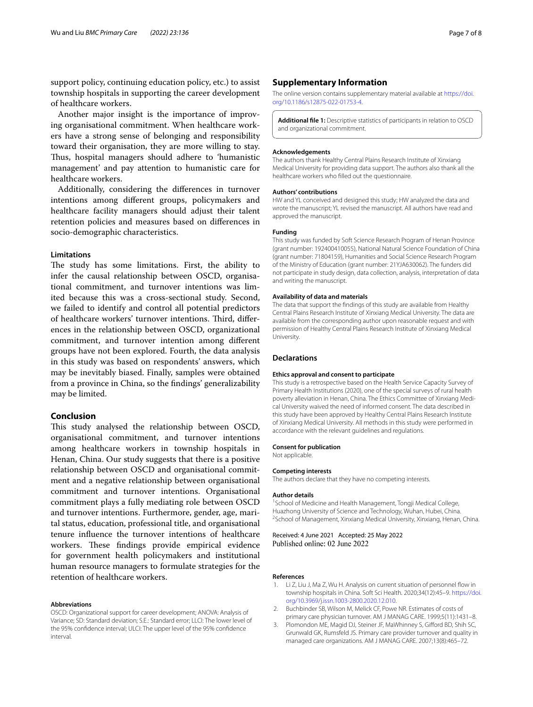support policy, continuing education policy, etc.) to assist township hospitals in supporting the career development of healthcare workers.

Another major insight is the importance of improving organisational commitment. When healthcare workers have a strong sense of belonging and responsibility toward their organisation, they are more willing to stay. Thus, hospital managers should adhere to 'humanistic management' and pay attention to humanistic care for healthcare workers.

Additionally, considering the diferences in turnover intentions among diferent groups, policymakers and healthcare facility managers should adjust their talent retention policies and measures based on diferences in socio-demographic characteristics.

## **Limitations**

The study has some limitations. First, the ability to infer the causal relationship between OSCD, organisational commitment, and turnover intentions was limited because this was a cross-sectional study. Second, we failed to identify and control all potential predictors of healthcare workers' turnover intentions. Third, differences in the relationship between OSCD, organizational commitment, and turnover intention among diferent groups have not been explored. Fourth, the data analysis in this study was based on respondents' answers, which may be inevitably biased. Finally, samples were obtained from a province in China, so the fndings' generalizability may be limited.

## **Conclusion**

This study analysed the relationship between OSCD, organisational commitment, and turnover intentions among healthcare workers in township hospitals in Henan, China. Our study suggests that there is a positive relationship between OSCD and organisational commitment and a negative relationship between organisational commitment and turnover intentions. Organisational commitment plays a fully mediating role between OSCD and turnover intentions. Furthermore, gender, age, marital status, education, professional title, and organisational tenure infuence the turnover intentions of healthcare workers. These findings provide empirical evidence for government health policymakers and institutional human resource managers to formulate strategies for the retention of healthcare workers.

#### **Abbreviations**

OSCD: Organizational support for career development; ANOVA: Analysis of Variance; SD: Standard deviation; S.E.: Standard error; LLCI: The lower level of the 95% confdence interval; ULCI: The upper level of the 95% confdence interval.

### **Supplementary Information**

The online version contains supplementary material available at [https://doi.](https://doi.org/10.1186/s12875-022-01753-4) [org/10.1186/s12875-022-01753-4](https://doi.org/10.1186/s12875-022-01753-4).

<span id="page-6-3"></span>**Additional fle 1:** Descriptive statistics of participants in relation to OSCD and organizational commitment.

#### **Acknowledgements**

The authors thank Healthy Central Plains Research Institute of Xinxiang Medical University for providing data support. The authors also thank all the healthcare workers who flled out the questionnaire.

#### **Authors' contributions**

HW and YL conceived and designed this study; HW analyzed the data and wrote the manuscript; YL revised the manuscript. All authors have read and approved the manuscript.

#### **Funding**

This study was funded by Soft Science Research Program of Henan Province (grant number: 192400410055), National Natural Science Foundation of China (grant number: 71804159), Humanities and Social Science Research Program of the Ministry of Education (grant number: 21YJA630062). The funders did not participate in study design, data collection, analysis, interpretation of data and writing the manuscript.

#### **Availability of data and materials**

The data that support the fndings of this study are available from Healthy Central Plains Research Institute of Xinxiang Medical University. The data are available from the corresponding author upon reasonable request and with permission of Healthy Central Plains Research Institute of Xinxiang Medical University.

### **Declarations**

#### **Ethics approval and consent to participate**

This study is a retrospective based on the Health Service Capacity Survey of Primary Health Institutions (2020), one of the special surveys of rural health poverty alleviation in Henan, China. The Ethics Committee of Xinxiang Medical University waived the need of informed consent. The data described in this study have been approved by Healthy Central Plains Research Institute of Xinxiang Medical University. All methods in this study were performed in accordance with the relevant guidelines and regulations.

#### **Consent for publication**

Not applicable.

## **Competing interests** The authors declare that they have no competing interests.

#### **Author details**

<sup>1</sup> School of Medicine and Health Management, Tongji Medical College, Huazhong University of Science and Technology, Wuhan, Hubei, China. 2 <sup>2</sup> School of Management, Xinxiang Medical University, Xinxiang, Henan, China.

Received: 4 June 2021 Accepted: 25 May 2022 Published online: 02 June 2022

#### **References**

- <span id="page-6-0"></span>1. Li Z, Liu J, Ma Z, Wu H. Analysis on current situation of personnel fow in township hospitals in China. Soft Sci Health. 2020;34(12):45–9. [https://doi.](https://doi.org/10.3969/j.issn.1003-2800.2020.12.010) [org/10.3969/j.issn.1003-2800.2020.12.010](https://doi.org/10.3969/j.issn.1003-2800.2020.12.010).
- <span id="page-6-1"></span>2. Buchbinder SB, Wilson M, Melick CF, Powe NR. Estimates of costs of primary care physician turnover. AM J MANAG CARE. 1999;5(11):1431–8.
- <span id="page-6-2"></span>3. Plomondon ME, Magid DJ, Steiner JF, MaWhinney S, Giford BD, Shih SC, Grunwald GK, Rumsfeld JS. Primary care provider turnover and quality in managed care organizations. AM J MANAG CARE. 2007;13(8):465–72.